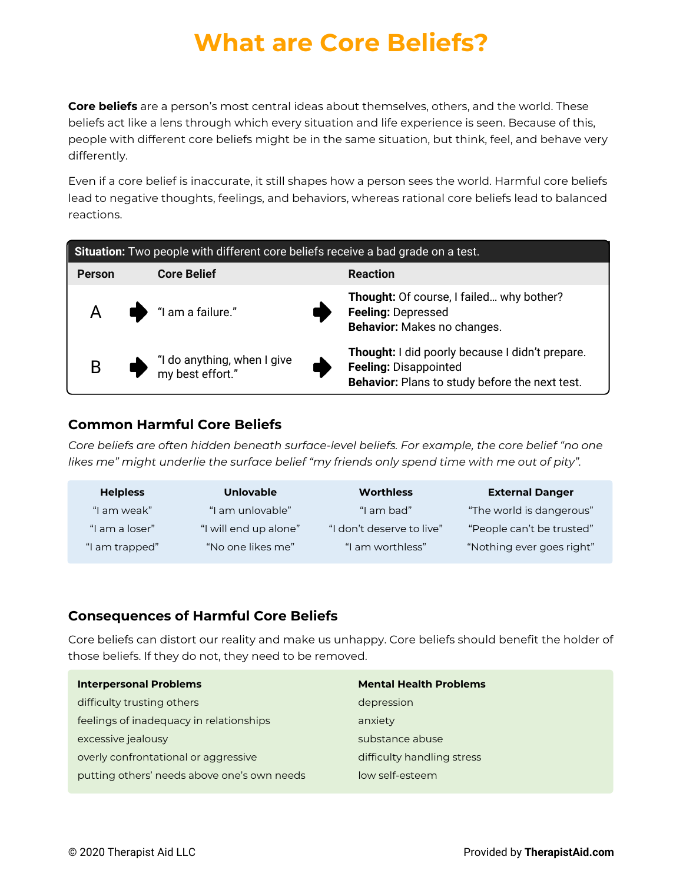# **What are Core Beliefs?**

**Core beliefs** are a person's most central ideas about themselves, others, and the world. These beliefs act like a lens through which every situation and life experience is seen. Because of this, people with different core beliefs might be in the same situation, but think, feel, and behave very differently.

Even if a core belief is inaccurate, it still shapes how a person sees the world. Harmful core beliefs lead to negative thoughts, feelings, and behaviors, whereas rational core beliefs lead to balanced reactions.

| Situation: Two people with different core beliefs receive a bad grade on a test. |                                                                                          |   |                                                                                                                                   |  |  |  |
|----------------------------------------------------------------------------------|------------------------------------------------------------------------------------------|---|-----------------------------------------------------------------------------------------------------------------------------------|--|--|--|
| <b>Person</b>                                                                    | <b>Core Belief</b>                                                                       |   | <b>Reaction</b>                                                                                                                   |  |  |  |
|                                                                                  | $A \qquad \qquad$ "I am a failure."                                                      |   | Thought: Of course, I failed why bother?<br><b>Feeling: Depressed</b><br>Behavior: Makes no changes.                              |  |  |  |
| B                                                                                | $\bullet$ $\bullet$ $\bullet$ $\bullet$ $\bullet$ anything, when I give my best effort." | Œ | Thought: I did poorly because I didn't prepare.<br><b>Feeling: Disappointed</b><br>Behavior: Plans to study before the next test. |  |  |  |

### **Common Harmful Core Beliefs**

*Core beliefs are often hidden beneath surface-level beliefs. For example, the core belief "no one likes me" might underlie the surface belief "my friends only spend time with me out of pity".*

| <b>Helpless</b> | <b>Unlovable</b>      | <b>Worthless</b>          | <b>External Danger</b>    |
|-----------------|-----------------------|---------------------------|---------------------------|
| "I am weak"     | "I am unlovable"      | "I am bad"                | "The world is dangerous"  |
| "I am a loser"  | "I will end up alone" | "I don't deserve to live" | "People can't be trusted" |
| "I am trapped"  | "No one likes me"     | "I am worthless"          | "Nothing ever goes right" |

### **Consequences of Harmful Core Beliefs**

Core beliefs can distort our reality and make us unhappy. Core beliefs should benefit the holder of those beliefs. If they do not, they need to be removed.

| <b>Interpersonal Problems</b>               | <b>Mental Health Problems</b> |
|---------------------------------------------|-------------------------------|
| difficulty trusting others                  | depression                    |
| feelings of inadequacy in relationships     | anxiety                       |
| excessive jealousy                          | substance abuse               |
| overly confrontational or aggressive        | difficulty handling stress    |
| putting others' needs above one's own needs | low self-esteem               |